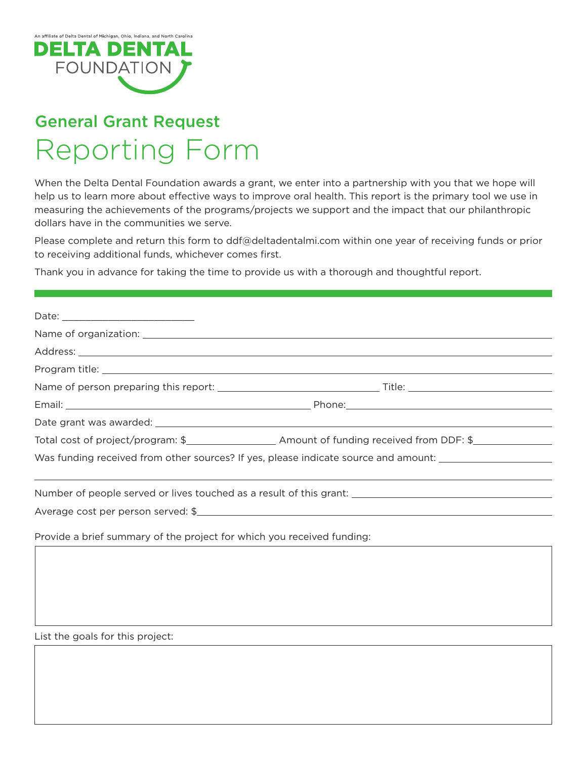

## General Grant Request Reporting Form

When the Delta Dental Foundation awards a grant, we enter into a partnership with you that we hope will help us to learn more about efective ways to improve oral health. This report is the primary tool we use in measuring the achievements of the programs/projects we support and the impact that our philanthropic dollars have in the communities we serve.

Please complete and return this form to [ddf@deltadentalmi.com](mailto:ddf@deltadentalmi.com) within one year of receiving funds or prior to receiving additional funds, whichever comes first.

Thank you in advance for taking the time to provide us with a thorough and thoughtful report.

| Was funding received from other sources? If yes, please indicate source and amount: _________________________ |  |
|---------------------------------------------------------------------------------------------------------------|--|
|                                                                                                               |  |
| Number of people served or lives touched as a result of this grant: ________________________________          |  |
| Average cost per person served: \$                                                                            |  |

Provide a brief summary of the project for which you received funding:

List the goals for this project: